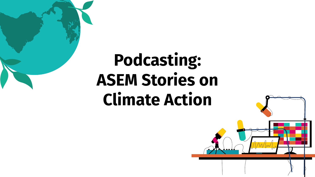

## **Podcasting: ASEM Stories on Climate Action**

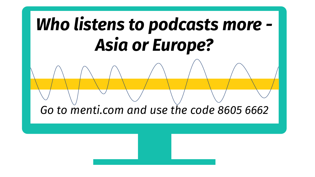# *Who listens to podcasts more - Asia or Europe?*

*Go to menti.com and use the code 8605 6662*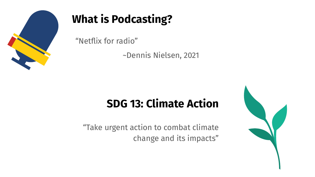

### **What is Podcasting?**

"Netflix for radio"

~Dennis Nielsen, 2021

### **SDG 13: Climate Action**

"Take urgent action to combat [climate](https://en.wikipedia.org/wiki/Climate_change)  [change](https://en.wikipedia.org/wiki/Climate_change) and its [impacts"](https://en.wikipedia.org/wiki/Effects_of_climate_change)

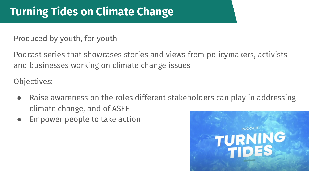Produced by youth, for youth

Podcast series that showcases stories and views from policymakers, activists and businesses working on climate change issues

Objectives:

- Raise awareness on the roles different stakeholders can play in addressing climate change, and of ASEF
- Empower people to take action

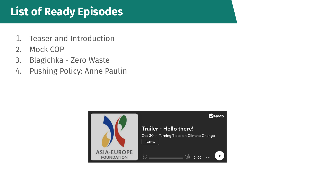### **List of Ready Episodes**

- 1. Teaser and Introduction
- 2. Mock COP
- 3. Blagichka Zero Waste
- 4. Pushing Policy: Anne Paulin

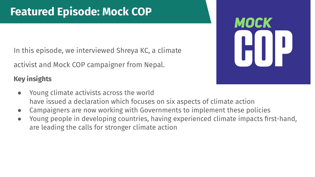In this episode, we interviewed Shreya KC, a climate

activist and Mock COP campaigner from Nepal.

#### **Key insights**

- Young climate activists across the world have issued a declaration which focuses on six aspects of climate action
- Campaigners are now working with Governments to implement these policies
- Young people in developing countries, having experienced climate impacts first-hand, are leading the calls for stronger climate action

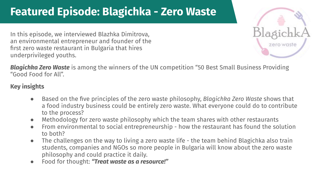### **Featured Episode: Blagichka - Zero Waste**

In this episode, we interviewed Blazhka Dimitrova, an environmental entrepreneur and founder of the first zero waste restaurant in Bulgaria that hires underprivileged youths.



*[Blagichka Zero Waste](https://foodsystems.community/blagichka-ltd-the-zero-waste-company/)* is among the winners of the UN competition "50 Best Small Business Providing "Good Food for All".

#### **Key insights**

- Based on the five principles of the zero waste philosophy, *Blagichka Zero Waste* shows that a food industry business could be entirely zero waste. What everyone could do to contribute to the process?
- Methodology for zero waste philosophy which the team shares with other restaurants
- From environmental to social entrepreneurship how the restaurant has found the solution to both?
- The challenges on the way to living a zero waste life the team behind Blagichka also train students, companies and NGOs so more people in Bulgaria will know about the zero waste philosophy and could practice it daily.
- Food for thought: *"Treat waste as a resource!"*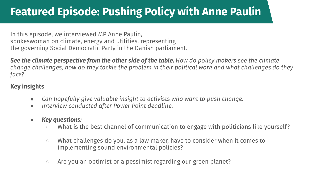### **Featured Episode: Pushing Policy with Anne Paulin**

In this episode, we interviewed MP Anne Paulin, spokeswoman on climate, energy and utilities, representing the governing Social Democratic Party in the Danish parliament.

*See the climate perspective from the other side of the table. How do policy makers see the climate change challenges, how do they tackle the problem in their political work and what challenges do they face?*

#### **Key insights**

- *Can hopefully give valuable insight to activists who want to push change.*
- *Interview conducted after Power Point deadline.*
- *● Key questions:*
	- What is the best channel of communication to engage with politicians like yourself?
	- What challenges do you, as a law maker, have to consider when it comes to implementing sound environmental policies?
	- Are you an optimist or a pessimist regarding our green planet?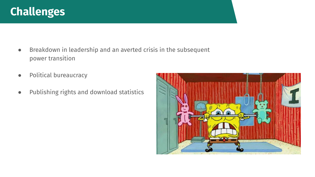#### **Challenges**

- Breakdown in leadership and an averted crisis in the subsequent power transition
- Political bureaucracy
- Publishing rights and download statistics

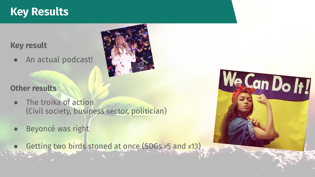#### **Key Results**

#### **Key result**

● An actual podcast!

#### **Other results**

- The troika of action (Civil society, business sector, politician)
- Beyoncé was right
	- Getting two birds stoned at once (SDGs #5 and #13)